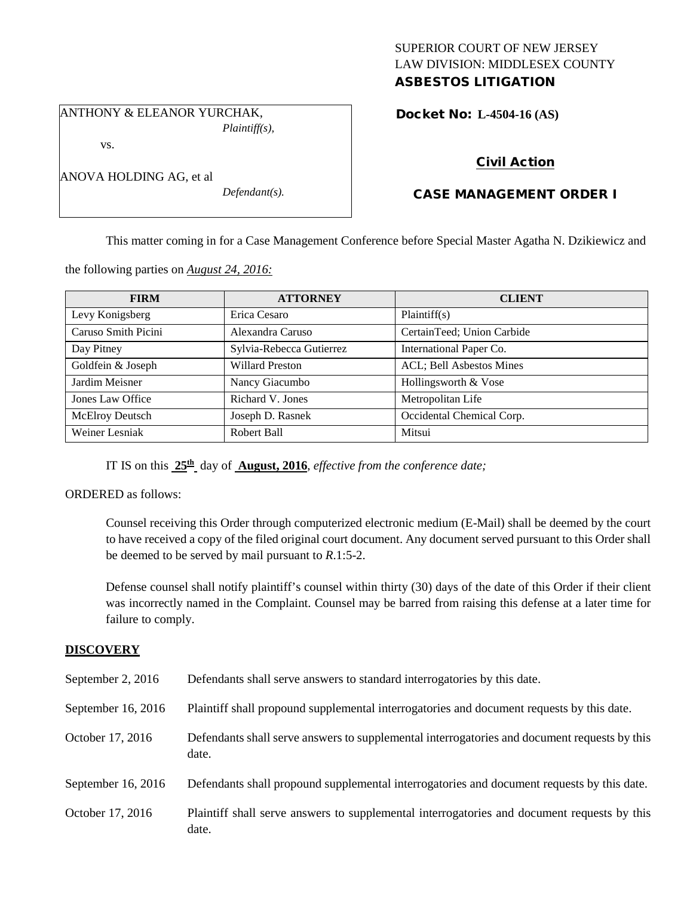## SUPERIOR COURT OF NEW JERSEY LAW DIVISION: MIDDLESEX COUNTY ASBESTOS LITIGATION

ANTHONY & ELEANOR YURCHAK, *Plaintiff(s),*

vs.

| ANOVA HOLDING AG, et al |  |
|-------------------------|--|
|                         |  |

*Defendant(s).*

# Docket No: **L-4504-16 (AS)**

# Civil Action

# CASE MANAGEMENT ORDER I

This matter coming in for a Case Management Conference before Special Master Agatha N. Dzikiewicz and

the following parties on *August 24, 2016:*

| <b>FIRM</b>            | <b>ATTORNEY</b>          | <b>CLIENT</b>                    |
|------------------------|--------------------------|----------------------------------|
| Levy Konigsberg        | Erica Cesaro             | Plaintiff(s)                     |
| Caruso Smith Picini    | Alexandra Caruso         | CertainTeed; Union Carbide       |
| Day Pitney             | Sylvia-Rebecca Gutierrez | International Paper Co.          |
| Goldfein & Joseph      | <b>Willard Preston</b>   | <b>ACL</b> ; Bell Asbestos Mines |
| Jardim Meisner         | Nancy Giacumbo           | Hollingsworth & Vose             |
| Jones Law Office       | Richard V. Jones         | Metropolitan Life                |
| <b>McElroy Deutsch</b> | Joseph D. Rasnek         | Occidental Chemical Corp.        |
| Weiner Lesniak         | Robert Ball              | Mitsui                           |

IT IS on this **25th** day of **August, 2016**, *effective from the conference date;*

ORDERED as follows:

Counsel receiving this Order through computerized electronic medium (E-Mail) shall be deemed by the court to have received a copy of the filed original court document. Any document served pursuant to this Order shall be deemed to be served by mail pursuant to *R*.1:5-2.

Defense counsel shall notify plaintiff's counsel within thirty (30) days of the date of this Order if their client was incorrectly named in the Complaint. Counsel may be barred from raising this defense at a later time for failure to comply.

## **DISCOVERY**

| September 2, 2016    | Defendants shall serve answers to standard interrogatories by this date.                              |
|----------------------|-------------------------------------------------------------------------------------------------------|
| September $16, 2016$ | Plaintiff shall propound supplemental interrogatories and document requests by this date.             |
| October 17, 2016     | Defendants shall serve answers to supplemental interrogatories and document requests by this<br>date. |
| September 16, 2016   | Defendants shall propound supplemental interrogatories and document requests by this date.            |
| October 17, 2016     | Plaintiff shall serve answers to supplemental interrogatories and document requests by this<br>date.  |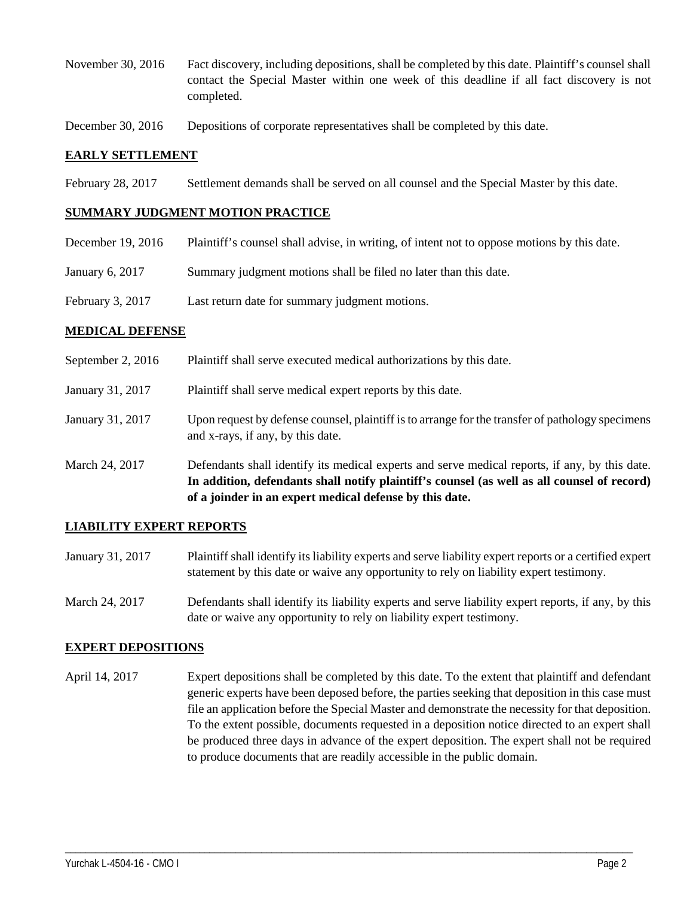- November 30, 2016 Fact discovery, including depositions, shall be completed by this date. Plaintiff's counsel shall contact the Special Master within one week of this deadline if all fact discovery is not completed.
- December 30, 2016 Depositions of corporate representatives shall be completed by this date.

#### **EARLY SETTLEMENT**

February 28, 2017 Settlement demands shall be served on all counsel and the Special Master by this date.

#### **SUMMARY JUDGMENT MOTION PRACTICE**

| December 19, 2016 | Plaintiff's counsel shall advise, in writing, of intent not to oppose motions by this date. |
|-------------------|---------------------------------------------------------------------------------------------|
| January 6, 2017   | Summary judgment motions shall be filed no later than this date.                            |
| February 3, 2017  | Last return date for summary judgment motions.                                              |

#### **MEDICAL DEFENSE**

September 2, 2016 Plaintiff shall serve executed medical authorizations by this date. January 31, 2017 Plaintiff shall serve medical expert reports by this date. January 31, 2017 Upon request by defense counsel, plaintiff is to arrange for the transfer of pathology specimens and x-rays, if any, by this date. March 24, 2017 Defendants shall identify its medical experts and serve medical reports, if any, by this date. **In addition, defendants shall notify plaintiff's counsel (as well as all counsel of record) of a joinder in an expert medical defense by this date.**

## **LIABILITY EXPERT REPORTS**

- January 31, 2017 Plaintiff shall identify its liability experts and serve liability expert reports or a certified expert statement by this date or waive any opportunity to rely on liability expert testimony.
- March 24, 2017 Defendants shall identify its liability experts and serve liability expert reports, if any, by this date or waive any opportunity to rely on liability expert testimony.

## **EXPERT DEPOSITIONS**

April 14, 2017 Expert depositions shall be completed by this date. To the extent that plaintiff and defendant generic experts have been deposed before, the parties seeking that deposition in this case must file an application before the Special Master and demonstrate the necessity for that deposition. To the extent possible, documents requested in a deposition notice directed to an expert shall be produced three days in advance of the expert deposition. The expert shall not be required to produce documents that are readily accessible in the public domain.

\_\_\_\_\_\_\_\_\_\_\_\_\_\_\_\_\_\_\_\_\_\_\_\_\_\_\_\_\_\_\_\_\_\_\_\_\_\_\_\_\_\_\_\_\_\_\_\_\_\_\_\_\_\_\_\_\_\_\_\_\_\_\_\_\_\_\_\_\_\_\_\_\_\_\_\_\_\_\_\_\_\_\_\_\_\_\_\_\_\_\_\_\_\_\_\_\_\_\_\_\_\_\_\_\_\_\_\_\_\_